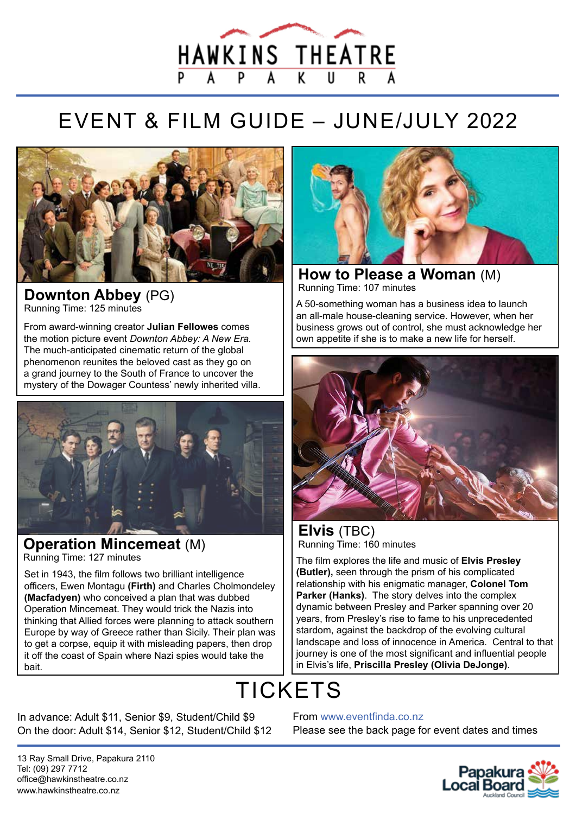

## EVENT & FILM GUIDE – JUNE/JULY 2022



#### **Downton Abbey** (PG) Running Time: 125 minutes

From award-winning creator **Julian Fellowes** comes the motion picture event *Downton Abbey: A New Era.* The much-anticipated cinematic return of the global phenomenon reunites the beloved cast as they go on a grand journey to the South of France to uncover the mystery of the Dowager Countess' newly inherited villa.



#### **Operation Mincemeat** (M) Running Time: 127 minutes

Set in 1943, the film follows two brilliant intelligence officers, Ewen Montagu **(Firth)** and Charles Cholmondeley **(Macfadyen)** who conceived a plan that was dubbed Operation Mincemeat. They would trick the Nazis into thinking that Allied forces were planning to attack southern Europe by way of Greece rather than Sicily. Their plan was to get a corpse, equip it with misleading papers, then drop it off the coast of Spain where Nazi spies would take the bait.



**How to Please a Woman** (M) Running Time: 107 minutes

A 50-something woman has a business idea to launch an all-male house-cleaning service. However, when her business grows out of control, she must acknowledge her own appetite if she is to make a new life for herself.



#### **Elvis** (TBC) Running Time: 160 minutes

The film explores the life and music of **Elvis Presley (Butler),** seen through the prism of his complicated relationship with his enigmatic manager, **Colonel Tom Parker (Hanks)**. The story delves into the complex dynamic between Presley and Parker spanning over 20 years, from Presley's rise to fame to his unprecedented stardom, against the backdrop of the evolving cultural landscape and loss of innocence in America. Central to that journey is one of the most significant and influential people in Elvis's life, **Priscilla Presley (Olivia DeJonge)**.

## **TICKETS**

In advance: Adult \$11, Senior \$9, Student/Child \$9 On the door: Adult \$14, Senior \$12, Student/Child \$12 From www.eventfinda.co.nz

Please see the back page for event dates and times

13 Ray Small Drive, Papakura 2110 Tel: (09) 297 7712 office@hawkinstheatre.co.nz www.hawkinstheatre.co.nz

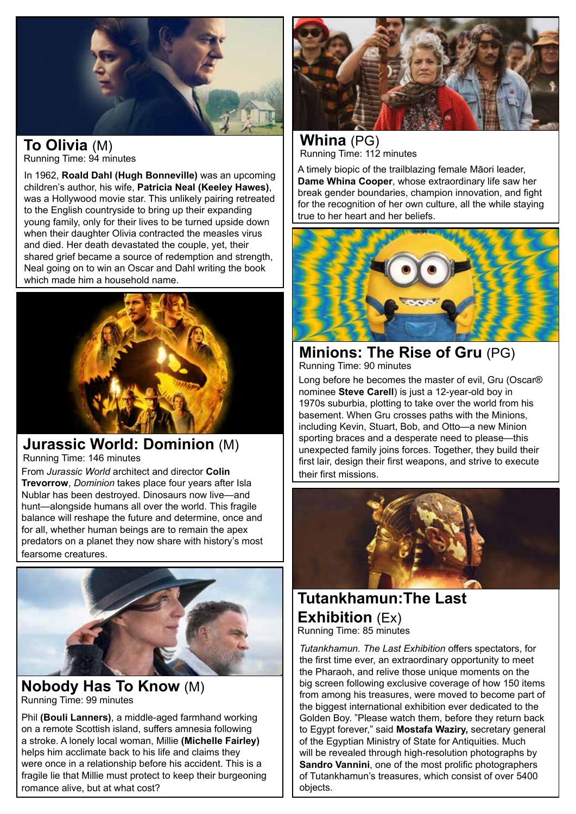

## **To Olivia** (M)

Running Time: 94 minutes

In 1962, **Roald Dahl (Hugh Bonneville)** was an upcoming children's author, his wife, **Patricia Neal (Keeley Hawes)**, was a Hollywood movie star. This unlikely pairing retreated to the English countryside to bring up their expanding young family, only for their lives to be turned upside down when their daughter Olivia contracted the measles virus and died. Her death devastated the couple, yet, their shared grief became a source of redemption and strength, Neal going on to win an Oscar and Dahl writing the book which made him a household name.



#### **Jurassic World: Dominion** (M) Running Time: 146 minutes

From *Jurassic World* architect and director **Colin Trevorrow**, *Dominion* takes place four years after Isla Nublar has been destroyed. Dinosaurs now live—and hunt—alongside humans all over the world. This fragile balance will reshape the future and determine, once and for all, whether human beings are to remain the apex predators on a planet they now share with history's most fearsome creatures.



#### **Nobody Has To Know** (M) Running Time: 99 minutes

Phil **(Bouli Lanners)**, a middle-aged farmhand working on a remote Scottish island, suffers amnesia following a stroke. A lonely local woman, Millie **(Michelle Fairley)** helps him acclimate back to his life and claims they were once in a relationship before his accident. This is a fragile lie that Millie must protect to keep their burgeoning romance alive, but at what cost?



**Whina** (PG) Running Time: 112 minutes

A timely biopic of the trailblazing female Māori leader, **Dame Whina Cooper**, whose extraordinary life saw her break gender boundaries, champion innovation, and fight for the recognition of her own culture, all the while staying true to her heart and her beliefs.



**Minions: The Rise of Gru** (PG) Running Time: 90 minutes

Long before he becomes the master of evil, Gru (Oscar® nominee **Steve Carell**) is just a 12-year-old boy in 1970s suburbia, plotting to take over the world from his basement. When Gru crosses paths with the Minions, including Kevin, Stuart, Bob, and Otto—a new Minion sporting braces and a desperate need to please—this unexpected family joins forces. Together, they build their first lair, design their first weapons, and strive to execute their first missions.



#### **Tutankhamun:The Last Exhibition** (Ex) Running Time: 85 minutes

*Tutankhamun. The Last Exhibition* offers spectators, for the first time ever, an extraordinary opportunity to meet the Pharaoh, and relive those unique moments on the big screen following exclusive coverage of how 150 items from among his treasures, were moved to become part of the biggest international exhibition ever dedicated to the Golden Boy. "Please watch them, before they return back to Egypt forever," said **Mostafa Waziry,** secretary general of the Egyptian Ministry of State for Antiquities. Much will be revealed through high-resolution photographs by **Sandro Vannini**, one of the most prolific photographers of Tutankhamun's treasures, which consist of over 5400 objects.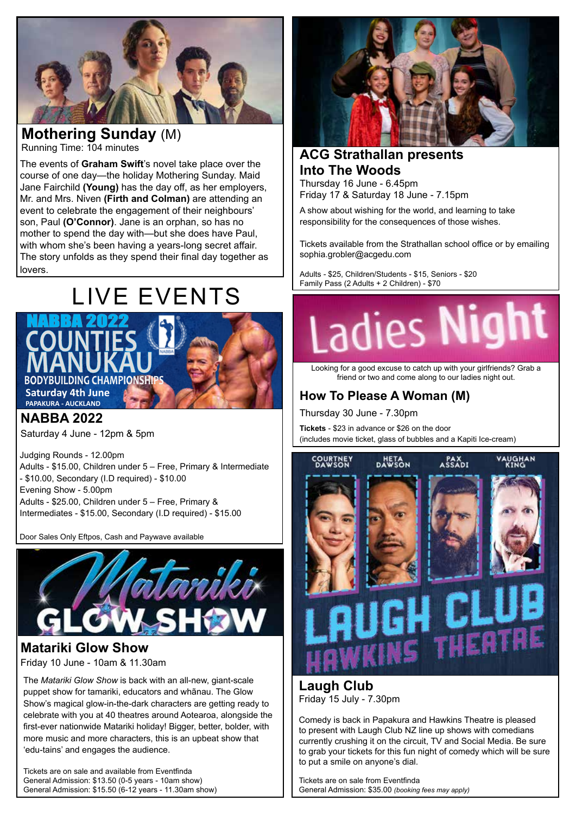

#### **Mothering Sunday** (M) Running Time: 104 minutes

The events of **Graham Swift**'s novel take place over the course of one day—the holiday Mothering Sunday. Maid Jane Fairchild **(Young)** has the day off, as her employers, Mr. and Mrs. Niven **(Firth and Colman)** are attending an event to celebrate the engagement of their neighbours' son, Paul **(O'Connor)**. Jane is an orphan, so has no mother to spend the day with—but she does have Paul, with whom she's been having a years-long secret affair. The story unfolds as they spend their final day together as lovers.

# **E** EVENTS





**NABBA 2022**

Saturday 4 June - 12pm & 5pm

Judging Rounds - 12.00pm Adults - \$15.00, Children under 5 – Free, Primary & Intermediate - \$10.00, Secondary (I.D required) - \$10.00 Evening Show - 5.00pm Adults - \$25.00, Children under 5 – Free, Primary & Intermediates - \$15.00, Secondary (I.D required) - \$15.00

.<br>Door Sales Only Eftpos, Cash and Paywave available



#### **Matariki Glow Show**

Friday 10 June - 10am & 11.30am

The *Matariki Glow Show* is back with an all-new, giant-scale puppet show for tamariki, educators and whãnau. The Glow Show's magical glow-in-the-dark characters are getting ready to celebrate with you at 40 theatres around Aotearoa, alongside the first-ever nationwide Matariki holiday! Bigger, better, bolder, with more music and more characters, this is an upbeat show that 'edu-tains' and engages the audience.

Tickets are on sale and available from Eventfinda General Admission: \$13.50 (0-5 years - 10am show) General Admission: \$15.50 (6-12 years - 11.30am show)



### **ACG Strathallan presents Into The Woods**

Thursday 16 June - 6.45pm Friday 17 & Saturday 18 June - 7.15pm

A show about wishing for the world, and learning to take responsibility for the consequences of those wishes.

Tickets available from the Strathallan school office or by emailing sophia.grobler@acgedu.com

Adults - \$25, Children/Students - \$15, Seniors - \$20 Family Pass (2 Adults + 2 Children) - \$70

# Ladies **Night**

Looking for a good excuse to catch up with your girlfriends? Grab a friend or two and come along to our ladies night out.

#### **How To Please A Woman (M)**

Thursday 30 June - 7.30pm

**Tickets** - \$23 in advance or \$26 on the door (includes movie ticket, glass of bubbles and a Kapiti Ice-cream)



**Laugh Club** Friday 15 July - 7.30pm

Comedy is back in Papakura and Hawkins Theatre is pleased to present with Laugh Club NZ line up shows with comedians currently crushing it on the circuit, TV and Social Media. Be sure to grab your tickets for this fun night of comedy which will be sure to put a smile on anyone's dial.

Tickets are on sale from Eventfinda General Admission: \$35.00 *(booking fees may apply)*